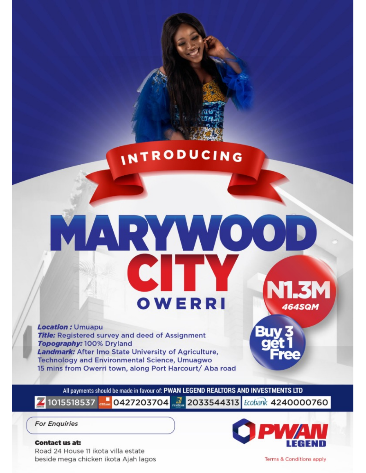## INTRODUCING

# ARY VOIO OWERRI **464SQM**

**Location: Umuapu Title:** Registered survey and deed of Assignment Topography: 100% Dryland Landmark: After Imo State University of Agriculture, **Technology and Environmental Science, Umuagwo** 15 mins from Owerri town, along Port Harcourt/ Aba road

All payments should be made in favour of: PWAN LEGEND REALTORS AND INVESTMENTS LTD 0427203704 2033544313 Ecobank 4240000760 41015518537

**For Enquiries** 

#### **Contact us at:** Road 24 House 11 ikota villa estate beside mega chicken ikota Ajah lagos

Terms & Conditions apply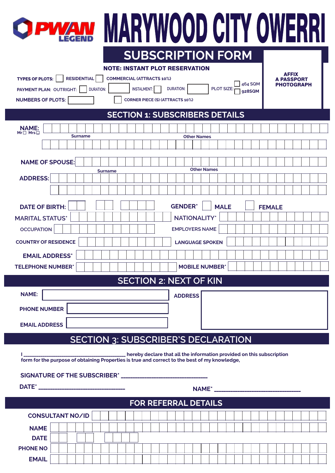

# OPWAN MARYWOOD CITY OWERRI **SUBSCRIPTION FORM**

| <b>NOTE: INSTANT PLOT RESERVATION</b>                                                                                       |                                                |  |
|-----------------------------------------------------------------------------------------------------------------------------|------------------------------------------------|--|
| <b>TYPES OF PLOTS:</b><br><b>RESIDENTIAL</b><br><b>COMMERCIAL (ATTRACTS 10%)</b>                                            | <b>AFFIX</b>                                   |  |
| <b>A PASSPORT</b><br>464 SQM<br><b>PHOTOGRAPH</b><br><b>DURATION:</b><br><b>PLOT SIZE:</b><br><b>INSTALMENT:</b>            |                                                |  |
| <b>DURATION:</b><br>PAYMENT PLAN: OUTRIGHT:<br>928SQM<br><b>NUMBERS OF PLOTS:</b><br><b>CORNER PIECE (S) (ATTRACTS 10%)</b> |                                                |  |
|                                                                                                                             |                                                |  |
|                                                                                                                             | <b>SECTION 1: SUBSCRIBERS DETAILS</b>          |  |
| <b>NAME:</b><br>Mr <sup>[]</sup> Mrs <sup>[]</sup>                                                                          |                                                |  |
| <b>Surname</b>                                                                                                              | <b>Other Names</b>                             |  |
|                                                                                                                             |                                                |  |
| <b>NAME OF SPOUSE:</b>                                                                                                      |                                                |  |
| <b>Surname</b><br><b>ADDRESS:</b>                                                                                           | <b>Other Names</b>                             |  |
|                                                                                                                             |                                                |  |
|                                                                                                                             |                                                |  |
| <b>DATE OF BIRTH:</b>                                                                                                       | <b>GENDER*</b><br><b>MALE</b><br><b>FEMALE</b> |  |
| <b>MARITAL STATUS*</b>                                                                                                      | <b>NATIONALITY*</b>                            |  |
| <b>OCCUPATION</b>                                                                                                           | <b>EMPLOYERS NAME</b>                          |  |
| <b>COUNTRY OF RESIDENCE</b>                                                                                                 | <b>LANGUAGE SPOKEN</b>                         |  |
| <b>EMAIL ADDRESS*</b>                                                                                                       |                                                |  |
| <b>TELEPHONE NUMBER*</b>                                                                                                    | <b>MOBILE NUMBER*</b>                          |  |
| <b>SECTION 2: NEXT OF KIN</b>                                                                                               |                                                |  |
|                                                                                                                             |                                                |  |
| <b>NAME:</b>                                                                                                                | <b>ADDRESS</b>                                 |  |
| <b>PHONE NUMBER</b>                                                                                                         |                                                |  |
| <b>EMAIL ADDRESS</b>                                                                                                        |                                                |  |
|                                                                                                                             |                                                |  |
| <b>SECTION 3: SUBSCRIBER'S DECLARATION</b>                                                                                  |                                                |  |
|                                                                                                                             |                                                |  |
|                                                                                                                             |                                                |  |
|                                                                                                                             |                                                |  |
|                                                                                                                             |                                                |  |
|                                                                                                                             | <b>FOR REFERRAL DETAILS</b>                    |  |
| <b>CONSULTANT NO/ID</b>                                                                                                     |                                                |  |
| <b>NAME</b>                                                                                                                 |                                                |  |
| <b>DATE</b>                                                                                                                 |                                                |  |
|                                                                                                                             |                                                |  |
| <b>PHONE NO</b>                                                                                                             |                                                |  |